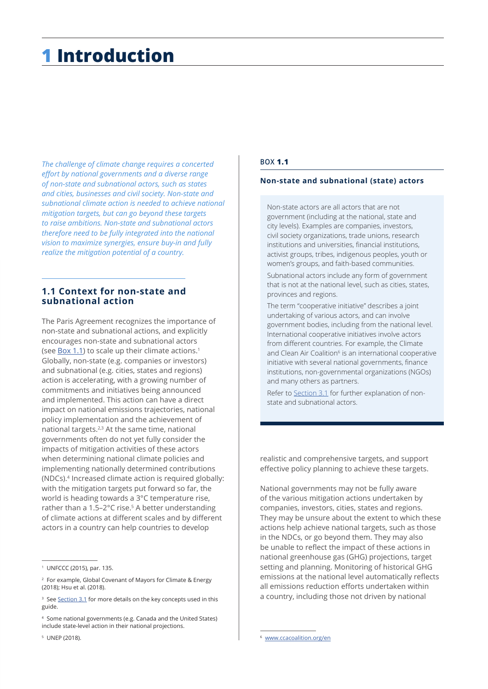# **1 Introduction**

*The challenge of climate change requires a concerted effort by national governments and a diverse range of non-state and subnational actors, such as states and cities, businesses and civil society. Non-state and subnational climate action is needed to achieve national mitigation targets, but can go beyond these targets to raise ambitions. Non-state and subnational actors therefore need to be fully integrated into the national vision to maximize synergies, ensure buy-in and fully realize the mitigation potential of a country.*

## **1.1 Context for non-state and subnational action**

The Paris Agreement recognizes the importance of non-state and subnational actions, and explicitly encourages non-state and subnational actors (see  $\underline{\text{Box 1.1}}$ ) to scale up their climate actions.<sup>1</sup> Globally, non-state (e.g. companies or investors) and subnational (e.g. cities, states and regions) action is accelerating, with a growing number of commitments and initiatives being announced and implemented. This action can have a direct impact on national emissions trajectories, national policy implementation and the achievement of national targets.2,3 At the same time, national governments often do not yet fully consider the impacts of mitigation activities of these actors when determining national climate policies and implementing nationally determined contributions (NDCs).4 Increased climate action is required globally: with the mitigation targets put forward so far, the world is heading towards a 3°C temperature rise, rather than a 1.5–2°C rise.<sup>5</sup> A better understanding of climate actions at different scales and by different actors in a country can help countries to develop

#### **BOX 1.1**

#### **Non-state and subnational (state) actors**

Non-state actors are all actors that are not government (including at the national, state and city levels). Examples are companies, investors, civil society organizations, trade unions, research institutions and universities, financial institutions, activist groups, tribes, indigenous peoples, youth or women's groups, and faith-based communities.

Subnational actors include any form of government that is not at the national level, such as cities, states, provinces and regions.

The term "cooperative initiative" describes a joint undertaking of various actors, and can involve government bodies, including from the national level. International cooperative initiatives involve actors from different countries. For example, the Climate and Clean Air Coalition<sup>6</sup> is an international cooperative initiative with several national governments, finance institutions, non-governmental organizations (NGOs) and many others as partners.

Refer to Section 3.1 for further explanation of nonstate and subnational actors.

realistic and comprehensive targets, and support effective policy planning to achieve these targets.

National governments may not be fully aware of the various mitigation actions undertaken by companies, investors, cities, states and regions. They may be unsure about the extent to which these actions help achieve national targets, such as those in the NDCs, or go beyond them. They may also be unable to reflect the impact of these actions in national greenhouse gas (GHG) projections, target setting and planning. Monitoring of historical GHG emissions at the national level automatically reflects all emissions reduction efforts undertaken within a country, including those not driven by national

5 UNEP (2018).

<sup>1</sup> UNFCCC (2015), par. 135.

<sup>2</sup> For example, Global Covenant of Mayors for Climate & Energy (2018); Hsu et al. (2018).

<sup>&</sup>lt;sup>3</sup> See Section 3.1 for more details on the key concepts used in this guide.

<sup>4</sup> Some national governments (e.g. Canada and the United States) include state-level action in their national projections.

[www.ccacoalition.org/en](http://www.ccacoalition.org/en)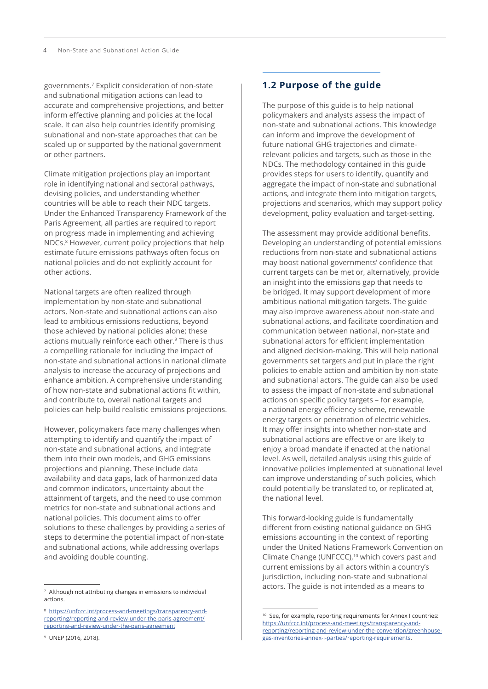governments.<sup>7</sup> Explicit consideration of non-state and subnational mitigation actions can lead to accurate and comprehensive projections, and better inform effective planning and policies at the local scale. It can also help countries identify promising subnational and non-state approaches that can be scaled up or supported by the national government or other partners.

Climate mitigation projections play an important role in identifying national and sectoral pathways, devising policies, and understanding whether countries will be able to reach their NDC targets. Under the Enhanced Transparency Framework of the Paris Agreement, all parties are required to report on progress made in implementing and achieving NDCs.8 However, current policy projections that help estimate future emissions pathways often focus on national policies and do not explicitly account for other actions.

National targets are often realized through implementation by non-state and subnational actors. Non-state and subnational actions can also lead to ambitious emissions reductions, beyond those achieved by national policies alone; these actions mutually reinforce each other.<sup>9</sup> There is thus a compelling rationale for including the impact of non-state and subnational actions in national climate analysis to increase the accuracy of projections and enhance ambition. A comprehensive understanding of how non-state and subnational actions fit within, and contribute to, overall national targets and policies can help build realistic emissions projections.

However, policymakers face many challenges when attempting to identify and quantify the impact of non-state and subnational actions, and integrate them into their own models, and GHG emissions projections and planning. These include data availability and data gaps, lack of harmonized data and common indicators, uncertainty about the attainment of targets, and the need to use common metrics for non-state and subnational actions and national policies. This document aims to offer solutions to these challenges by providing a series of steps to determine the potential impact of non-state and subnational actions, while addressing overlaps and avoiding double counting.

#### 9 UNEP (2016, 2018).

## **1.2 Purpose of the guide**

The purpose of this guide is to help national policymakers and analysts assess the impact of non-state and subnational actions. This knowledge can inform and improve the development of future national GHG trajectories and climaterelevant policies and targets, such as those in the NDCs. The methodology contained in this guide provides steps for users to identify, quantify and aggregate the impact of non-state and subnational actions, and integrate them into mitigation targets, projections and scenarios, which may support policy development, policy evaluation and target-setting.

The assessment may provide additional benefits. Developing an understanding of potential emissions reductions from non-state and subnational actions may boost national governments' confidence that current targets can be met or, alternatively, provide an insight into the emissions gap that needs to be bridged. It may support development of more ambitious national mitigation targets. The guide may also improve awareness about non-state and subnational actions, and facilitate coordination and communication between national, non-state and subnational actors for efficient implementation and aligned decision-making. This will help national governments set targets and put in place the right policies to enable action and ambition by non-state and subnational actors. The guide can also be used to assess the impact of non-state and subnational actions on specific policy targets – for example, a national energy efficiency scheme, renewable energy targets or penetration of electric vehicles. It may offer insights into whether non-state and subnational actions are effective or are likely to enjoy a broad mandate if enacted at the national level. As well, detailed analysis using this guide of innovative policies implemented at subnational level can improve understanding of such policies, which could potentially be translated to, or replicated at, the national level.

This forward-looking guide is fundamentally different from existing national guidance on GHG emissions accounting in the context of reporting under the United Nations Framework Convention on Climate Change (UNFCCC),<sup>10</sup> which covers past and current emissions by all actors within a country's jurisdiction, including non-state and subnational actors. The guide is not intended as a means to

<sup>7</sup> Although not attributing changes in emissions to individual actions.

<sup>8</sup> [https://unfccc.int/process-and-meetings/transparency-and](https://unfccc.int/process-and-meetings/transparency-and-reporting/reporting-and-review-under-the-paris-agreement/reporting-and-review-under-the-paris-agreement)[reporting/reporting-and-review-under-the-paris-agreement/](https://unfccc.int/process-and-meetings/transparency-and-reporting/reporting-and-review-under-the-paris-agreement/reporting-and-review-under-the-paris-agreement) [reporting-and-review-under-the-paris-agreement](https://unfccc.int/process-and-meetings/transparency-and-reporting/reporting-and-review-under-the-paris-agreement/reporting-and-review-under-the-paris-agreement)

<sup>&</sup>lt;sup>10</sup> See, for example, reporting requirements for Annex I countries: [https://unfccc.int/process-and-meetings/transparency-and](https://unfccc.int/process-and-meetings/transparency-and-reporting/reporting-and-review-under-the-convention/greenhouse-gas-inventories-annex-i-parties/reporting-requirements)[reporting/reporting-and-review-under-the-convention/greenhouse](https://unfccc.int/process-and-meetings/transparency-and-reporting/reporting-and-review-under-the-convention/greenhouse-gas-inventories-annex-i-parties/reporting-requirements)[gas-inventories-annex-i-parties/reporting-requirements](https://unfccc.int/process-and-meetings/transparency-and-reporting/reporting-and-review-under-the-convention/greenhouse-gas-inventories-annex-i-parties/reporting-requirements).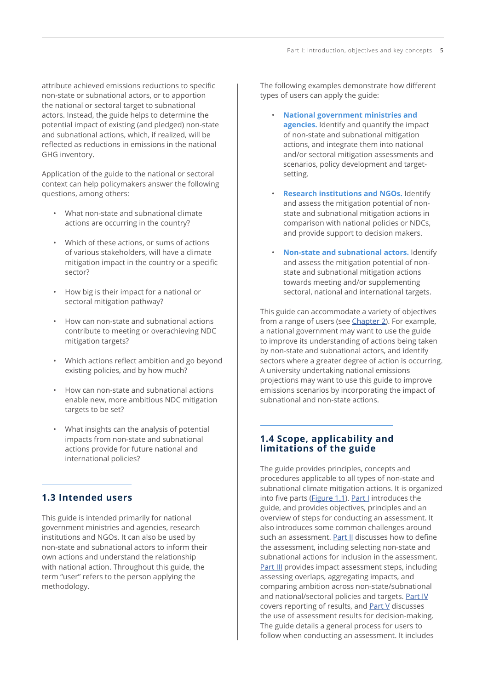attribute achieved emissions reductions to specific non-state or subnational actors, or to apportion the national or sectoral target to subnational actors. Instead, the guide helps to determine the potential impact of existing (and pledged) non-state and subnational actions, which, if realized, will be reflected as reductions in emissions in the national GHG inventory.

Application of the guide to the national or sectoral context can help policymakers answer the following questions, among others:

- What non-state and subnational climate actions are occurring in the country?
- Which of these actions, or sums of actions of various stakeholders, will have a climate mitigation impact in the country or a specific sector?
- How big is their impact for a national or sectoral mitigation pathway?
- How can non-state and subnational actions contribute to meeting or overachieving NDC mitigation targets?
- Which actions reflect ambition and go beyond existing policies, and by how much?
- How can non-state and subnational actions enable new, more ambitious NDC mitigation targets to be set?
- What insights can the analysis of potential impacts from non-state and subnational actions provide for future national and international policies?

## **1.3 Intended users**

This guide is intended primarily for national government ministries and agencies, research institutions and NGOs. It can also be used by non-state and subnational actors to inform their own actions and understand the relationship with national action. Throughout this guide, the term "user" refers to the person applying the methodology.

The following examples demonstrate how different types of users can apply the guide:

- **National government ministries and agencies.** Identify and quantify the impact of non-state and subnational mitigation actions, and integrate them into national and/or sectoral mitigation assessments and scenarios, policy development and targetsetting.
- **Research institutions and NGOs.** Identify and assess the mitigation potential of nonstate and subnational mitigation actions in comparison with national policies or NDCs, and provide support to decision makers.
- **Non-state and subnational actors.** Identify and assess the mitigation potential of nonstate and subnational mitigation actions towards meeting and/or supplementing sectoral, national and international targets.

This guide can accommodate a variety of objectives from a range of users (see [Chapter 2\)](#page-8-0). For example, a national government may want to use the guide to improve its understanding of actions being taken by non-state and subnational actors, and identify sectors where a greater degree of action is occurring. A university undertaking national emissions projections may want to use this guide to improve emissions scenarios by incorporating the impact of subnational and non-state actions.

## **1.4 Scope, applicability and limitations of the guide**

The guide provides principles, concepts and procedures applicable to all types of non-state and subnational climate mitigation actions. It is organized into five parts [\(Figure 1.1](#page-3-0)). Part I introduces the guide, and provides objectives, principles and an overview of steps for conducting an assessment. It also introduces some common challenges around such an assessment. Part II discusses how to define the assessment, including selecting non-state and subnational actions for inclusion in the assessment. Part III provides impact assessment steps, including assessing overlaps, aggregating impacts, and comparing ambition across non-state/subnational and national/sectoral policies and targets. Part IV covers reporting of results, and Part V discusses the use of assessment results for decision-making. The guide details a general process for users to follow when conducting an assessment. It includes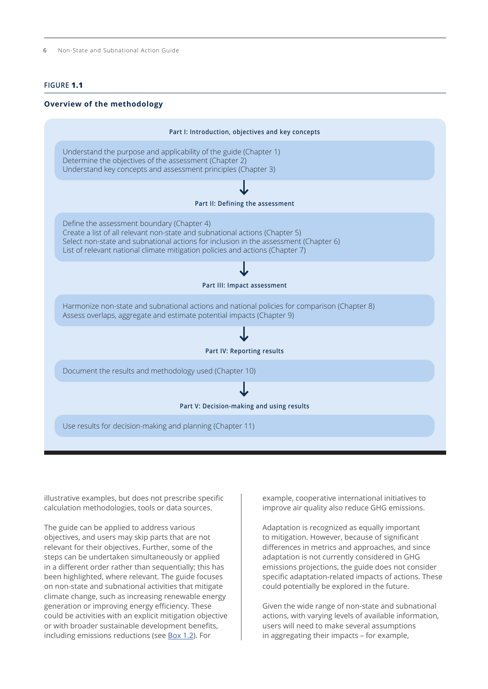<span id="page-3-0"></span>6 Non-State and Subnational Action Guide

#### **FIGURE 1.1**

#### **Overview of the methodology**



illustrative examples, but does not prescribe specific calculation methodologies, tools or data sources.

The guide can be applied to address various objectives, and users may skip parts that are not relevant for their objectives. Further, some of the steps can be undertaken simultaneously or applied in a different order rather than sequentially; this has been highlighted, where relevant. The guide focuses on non-state and subnational activities that mitigate climate change, such as increasing renewable energy generation or improving energy efficiency. These could be activities with an explicit mitigation objective or with broader sustainable development benefits, including emissions reductions (see [Box 1.2\)](#page-4-0). For

example, cooperative international initiatives to improve air quality also reduce GHG emissions.

Adaptation is recognized as equally important to mitigation. However, because of significant differences in metrics and approaches, and since adaptation is not currently considered in GHG emissions projections, the guide does not consider specific adaptation-related impacts of actions. These could potentially be explored in the future.

Given the wide range of non-state and subnational actions, with varying levels of available information, users will need to make several assumptions in aggregating their impacts – for example,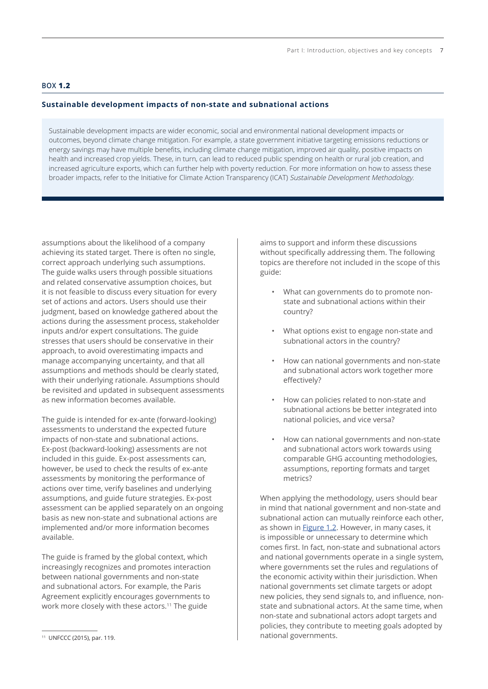## <span id="page-4-0"></span>**BOX 1.2**

### **Sustainable development impacts of non-state and subnational actions**

Sustainable development impacts are wider economic, social and environmental national development impacts or outcomes, beyond climate change mitigation. For example, a state government initiative targeting emissions reductions or energy savings may have multiple benefits, including climate change mitigation, improved air quality, positive impacts on health and increased crop yields. These, in turn, can lead to reduced public spending on health or rural job creation, and increased agriculture exports, which can further help with poverty reduction. For more information on how to assess these broader impacts, refer to the Initiative for Climate Action Transparency (ICAT) Sustainable Development Methodology.

assumptions about the likelihood of a company achieving its stated target. There is often no single, correct approach underlying such assumptions. The guide walks users through possible situations and related conservative assumption choices, but it is not feasible to discuss every situation for every set of actions and actors. Users should use their judgment, based on knowledge gathered about the actions during the assessment process, stakeholder inputs and/or expert consultations. The guide stresses that users should be conservative in their approach, to avoid overestimating impacts and manage accompanying uncertainty, and that all assumptions and methods should be clearly stated, with their underlying rationale. Assumptions should be revisited and updated in subsequent assessments as new information becomes available.

The guide is intended for ex-ante (forward-looking) assessments to understand the expected future impacts of non-state and subnational actions. Ex-post (backward-looking) assessments are not included in this guide. Ex-post assessments can, however, be used to check the results of ex-ante assessments by monitoring the performance of actions over time, verify baselines and underlying assumptions, and guide future strategies. Ex-post assessment can be applied separately on an ongoing basis as new non-state and subnational actions are implemented and/or more information becomes available.

The guide is framed by the global context, which increasingly recognizes and promotes interaction between national governments and non-state and subnational actors. For example, the Paris Agreement explicitly encourages governments to work more closely with these actors.11 The guide

aims to support and inform these discussions without specifically addressing them. The following topics are therefore not included in the scope of this guide:

- What can governments do to promote nonstate and subnational actions within their country?
- What options exist to engage non-state and subnational actors in the country?
- How can national governments and non-state and subnational actors work together more effectively?
- How can policies related to non-state and subnational actions be better integrated into national policies, and vice versa?
- How can national governments and non-state and subnational actors work towards using comparable GHG accounting methodologies, assumptions, reporting formats and target metrics?

When applying the methodology, users should bear in mind that national government and non-state and subnational action can mutually reinforce each other, as shown in [Figure 1.2](#page-5-0). However, in many cases, it is impossible or unnecessary to determine which comes first. In fact, non-state and subnational actors and national governments operate in a single system, where governments set the rules and regulations of the economic activity within their jurisdiction. When national governments set climate targets or adopt new policies, they send signals to, and influence, nonstate and subnational actors. At the same time, when non-state and subnational actors adopt targets and policies, they contribute to meeting goals adopted by national governments.

<sup>11</sup> UNFCCC (2015), par. 119.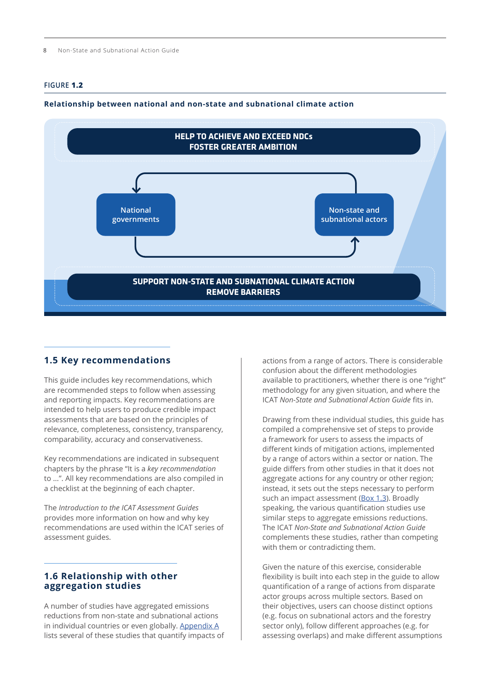## <span id="page-5-0"></span>**FIGURE 1.2**

#### **Relationship between national and non-state and subnational climate action**



### **1.5 Key recommendations**

This guide includes key recommendations, which are recommended steps to follow when assessing and reporting impacts. Key recommendations are intended to help users to produce credible impact assessments that are based on the principles of relevance, completeness, consistency, transparency, comparability, accuracy and conservativeness.

Key recommendations are indicated in subsequent chapters by the phrase "It is a *key recommendation* to …". All key recommendations are also compiled in a checklist at the beginning of each chapter.

The *Introduction to the ICAT Assessment Guides* provides more information on how and why key recommendations are used within the ICAT series of assessment guides.

## **1.6 Relationship with other aggregation studies**

A number of studies have aggregated emissions reductions from non-state and subnational actions in individual countries or even globally. Appendix A lists several of these studies that quantify impacts of actions from a range of actors. There is considerable confusion about the different methodologies available to practitioners, whether there is one "right" methodology for any given situation, and where the ICAT *Non-State and Subnational Action Guide* fits in.

Drawing from these individual studies, this guide has compiled a comprehensive set of steps to provide a framework for users to assess the impacts of different kinds of mitigation actions, implemented by a range of actors within a sector or nation. The guide differs from other studies in that it does not aggregate actions for any country or other region; instead, it sets out the steps necessary to perform such an impact assessment ([Box 1.3](#page-6-0)). Broadly speaking, the various quantification studies use similar steps to aggregate emissions reductions. The ICAT *Non-State and Subnational Action Guide* complements these studies, rather than competing with them or contradicting them.

Given the nature of this exercise, considerable flexibility is built into each step in the guide to allow quantification of a range of actions from disparate actor groups across multiple sectors. Based on their objectives, users can choose distinct options (e.g. focus on subnational actors and the forestry sector only), follow different approaches (e.g. for assessing overlaps) and make different assumptions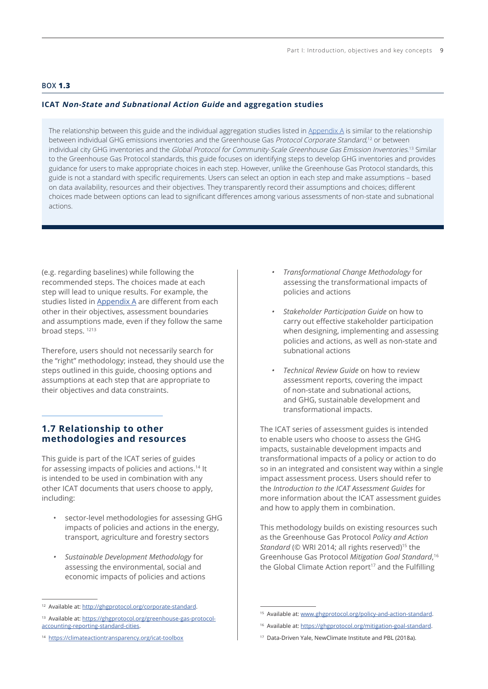## <span id="page-6-0"></span>**BOX 1.3**

## **ICAT Non-State and Subnational Action Guide and aggregation studies**

The relationship between this guide and the individual aggregation studies listed in Appendix A is similar to the relationship between individual GHG emissions inventories and the Greenhouse Gas Protocol Corporate Standard,<sup>12</sup> or between individual city GHG inventories and the *Global Protocol for Community-Scale Greenhouse Gas Emission Inventories*.<sup>13</sup> Similar to the Greenhouse Gas Protocol standards, this guide focuses on identifying steps to develop GHG inventories and provides guidance for users to make appropriate choices in each step. However, unlike the Greenhouse Gas Protocol standards, this guide is not a standard with specific requirements. Users can select an option in each step and make assumptions – based on data availability, resources and their objectives. They transparently record their assumptions and choices; different choices made between options can lead to significant differences among various assessments of non-state and subnational actions.

(e.g. regarding baselines) while following the recommended steps. The choices made at each step will lead to unique results. For example, the studies listed in Appendix A are different from each other in their objectives, assessment boundaries and assumptions made, even if they follow the same broad steps. 1213

Therefore, users should not necessarily search for the "right" methodology; instead, they should use the steps outlined in this guide, choosing options and assumptions at each step that are appropriate to their objectives and data constraints.

## **1.7 Relationship to other methodologies and resources**

This guide is part of the ICAT series of guides for assessing impacts of policies and actions.14 It is intended to be used in combination with any other ICAT documents that users choose to apply, including:

- sector-level methodologies for assessing GHG impacts of policies and actions in the energy, transport, agriculture and forestry sectors
- *• Sustainable Development Methodology* for assessing the environmental, social and economic impacts of policies and actions
- *• Transformational Change Methodology* for assessing the transformational impacts of policies and actions
- *• Stakeholder Participation Guide* on how to carry out effective stakeholder participation when designing, implementing and assessing policies and actions, as well as non-state and subnational actions
- *• Technical Review Guide* on how to review assessment reports, covering the impact of non-state and subnational actions, and GHG, sustainable development and transformational impacts.

The ICAT series of assessment guides is intended to enable users who choose to assess the GHG impacts, sustainable development impacts and transformational impacts of a policy or action to do so in an integrated and consistent way within a single impact assessment process. Users should refer to the *Introduction to the ICAT Assessment Guides* for more information about the ICAT assessment guides and how to apply them in combination.

This methodology builds on existing resources such as the Greenhouse Gas Protocol *Policy and Action Standard* (© WRI 2014; all rights reserved)<sup>15</sup> the Greenhouse Gas Protocol *Mitigation Goal Standard*, 16 the Global Climate Action report<sup>17</sup> and the Fulfilling

<sup>12</sup> Available at:<http://ghgprotocol.org/corporate-standard>.

<sup>13</sup> Available at: [https://ghgprotocol.org/greenhouse-gas-protocol](https://ghgprotocol.org/greenhouse-gas-protocol-accounting-reporting-standard-cities)[accounting-reporting-standard-cities](https://ghgprotocol.org/greenhouse-gas-protocol-accounting-reporting-standard-cities).

<sup>14</sup> <https://climateactiontransparency.org/icat-toolbox>

<sup>15</sup> Available at: www.ghgprotocol.org/policy-and-action-standard.

<sup>16</sup> Available at: <https://ghgprotocol.org/mitigation-goal-standard>.

<sup>17</sup> Data-Driven Yale, NewClimate Institute and PBL (2018a).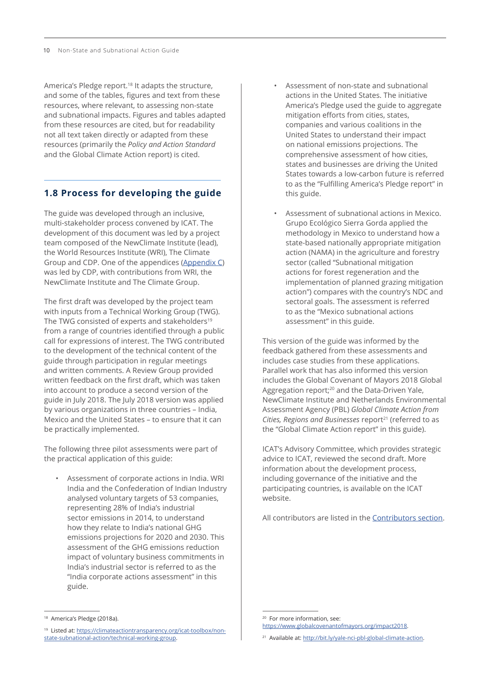America's Pledge report.<sup>18</sup> It adapts the structure, and some of the tables, figures and text from these resources, where relevant, to assessing non-state and subnational impacts. Figures and tables adapted from these resources are cited, but for readability not all text taken directly or adapted from these resources (primarily the *Policy and Action Standard* and the Global Climate Action report) is cited.

## **1.8 Process for developing the guide**

The guide was developed through an inclusive, multi-stakeholder process convened by ICAT. The development of this document was led by a project team composed of the NewClimate Institute (lead), the World Resources Institute (WRI), The Climate Group and CDP. One of the appendices (Appendix C) was led by CDP, with contributions from WRI, the NewClimate Institute and The Climate Group.

The first draft was developed by the project team with inputs from a Technical Working Group (TWG). The TWG consisted of experts and stakeholders<sup>19</sup> from a range of countries identified through a public call for expressions of interest. The TWG contributed to the development of the technical content of the guide through participation in regular meetings and written comments. A Review Group provided written feedback on the first draft, which was taken into account to produce a second version of the guide in July 2018. The July 2018 version was applied by various organizations in three countries – India, Mexico and the United States – to ensure that it can be practically implemented.

The following three pilot assessments were part of the practical application of this guide:

• Assessment of corporate actions in India. WRI India and the Confederation of Indian Industry analysed voluntary targets of 53 companies, representing 28% of India's industrial sector emissions in 2014, to understand how they relate to India's national GHG emissions projections for 2020 and 2030. This assessment of the GHG emissions reduction impact of voluntary business commitments in India's industrial sector is referred to as the "India corporate actions assessment" in this guide.

- Assessment of non-state and subnational actions in the United States. The initiative America's Pledge used the guide to aggregate mitigation efforts from cities, states, companies and various coalitions in the United States to understand their impact on national emissions projections. The comprehensive assessment of how cities, states and businesses are driving the United States towards a low-carbon future is referred to as the "Fulfilling America's Pledge report" in this guide.
- Assessment of subnational actions in Mexico. Grupo Ecológico Sierra Gorda applied the methodology in Mexico to understand how a state-based nationally appropriate mitigation action (NAMA) in the agriculture and forestry sector (called "Subnational mitigation actions for forest regeneration and the implementation of planned grazing mitigation action") compares with the country's NDC and sectoral goals. The assessment is referred to as the "Mexico subnational actions assessment" in this guide.

This version of the guide was informed by the feedback gathered from these assessments and includes case studies from these applications. Parallel work that has also informed this version includes the Global Covenant of Mayors 2018 Global Aggregation report;<sup>20</sup> and the Data-Driven Yale, NewClimate Institute and Netherlands Environmental Assessment Agency (PBL) *Global Climate Action from Cities, Regions and Businesses* report<sup>21</sup> (referred to as the "Global Climate Action report" in this guide).

ICAT's Advisory Committee, which provides strategic advice to ICAT, reviewed the second draft. More information about the development process, including governance of the initiative and the participating countries, is available on the ICAT website.

All contributors are listed in the Contributors section.

<sup>&</sup>lt;sup>18</sup> America's Pledge (2018a).

<sup>19</sup> Listed at: [https://climateactiontransparency.org/icat-toolbox/non](https://climateactiontransparency.org/icat-toolbox/non-state-subnational-action/technical-working-group)[state-subnational-action/technical-working-group.](https://climateactiontransparency.org/icat-toolbox/non-state-subnational-action/technical-working-group)

<sup>20</sup> For more information, see:

https:/[/www.globalcovenantofmayors.org/impact2018.](https://www.globalcovenantofmayors.org/impact2018)

<sup>21</sup> Available at: <http://bit.ly/yale-nci-pbl-global-climate-action>.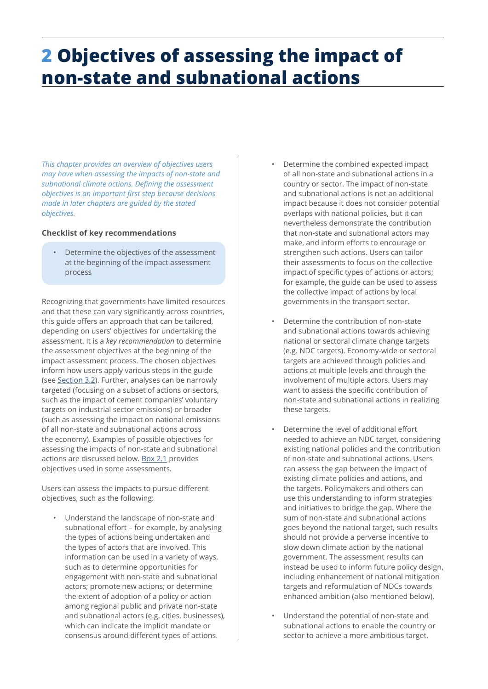# <span id="page-8-0"></span>**2 Objectives of assessing the impact of non-state and subnational actions**

*This chapter provides an overview of objectives users may have when assessing the impacts of non-state and subnational climate actions. Defining the assessment objectives is an important first step because decisions made in later chapters are guided by the stated objectives.* 

## **Checklist of key recommendations**

• Determine the objectives of the assessment at the beginning of the impact assessment process

Recognizing that governments have limited resources and that these can vary significantly across countries, this guide offers an approach that can be tailored, depending on users' objectives for undertaking the assessment. It is a *key recommendation* to determine the assessment objectives at the beginning of the impact assessment process. The chosen objectives inform how users apply various steps in the guide (see Section 3.2). Further, analyses can be narrowly targeted (focusing on a subset of actions or sectors, such as the impact of cement companies' voluntary targets on industrial sector emissions) or broader (such as assessing the impact on national emissions of all non-state and subnational actions across the economy). Examples of possible objectives for assessing the impacts of non-state and subnational actions are discussed below. [Box 2.1](#page-9-0) provides objectives used in some assessments.

Users can assess the impacts to pursue different objectives, such as the following:

• Understand the landscape of non-state and subnational effort – for example, by analysing the types of actions being undertaken and the types of actors that are involved. This information can be used in a variety of ways, such as to determine opportunities for engagement with non-state and subnational actors; promote new actions; or determine the extent of adoption of a policy or action among regional public and private non-state and subnational actors (e.g. cities, businesses), which can indicate the implicit mandate or consensus around different types of actions.

- Determine the combined expected impact of all non-state and subnational actions in a country or sector. The impact of non-state and subnational actions is not an additional impact because it does not consider potential overlaps with national policies, but it can nevertheless demonstrate the contribution that non-state and subnational actors may make, and inform efforts to encourage or strengthen such actions. Users can tailor their assessments to focus on the collective impact of specific types of actions or actors; for example, the guide can be used to assess the collective impact of actions by local governments in the transport sector.
- Determine the contribution of non-state and subnational actions towards achieving national or sectoral climate change targets (e.g. NDC targets). Economy-wide or sectoral targets are achieved through policies and actions at multiple levels and through the involvement of multiple actors. Users may want to assess the specific contribution of non-state and subnational actions in realizing these targets.
- Determine the level of additional effort needed to achieve an NDC target, considering existing national policies and the contribution of non-state and subnational actions. Users can assess the gap between the impact of existing climate policies and actions, and the targets. Policymakers and others can use this understanding to inform strategies and initiatives to bridge the gap. Where the sum of non-state and subnational actions goes beyond the national target, such results should not provide a perverse incentive to slow down climate action by the national government. The assessment results can instead be used to inform future policy design, including enhancement of national mitigation targets and reformulation of NDCs towards enhanced ambition (also mentioned below).
- Understand the potential of non-state and subnational actions to enable the country or sector to achieve a more ambitious target.